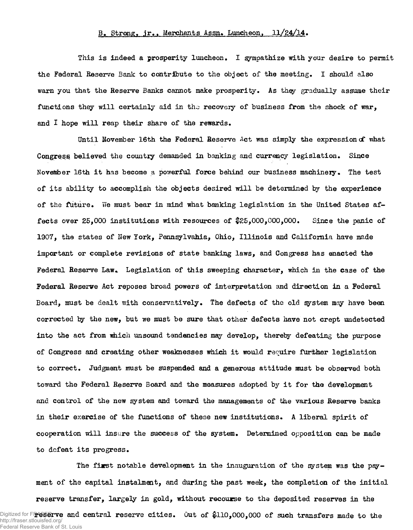## B. Strong. jr.. Merchants Assn. Luncheon,  $11/24/14$ .

This is indeed a prosperity luncheon. I sympathize with your desire to permit the Federal Reserve Bank to contribute to the object of the meeting. I should also warn you that the Reserve Banks cannot make prosperity. As they gradually assume their functions they will certainly aid in tho recovery of business from the shock of war, and I hope will reap their share of the rewards.

Until November 16th the Federal Reserve Act was simply the expression of what Congress believed the country demanded in banking and currency legislation. Since November 16th it has become a powerful force behind our business machinery. The test of its ability to accomplish the objects desired will be determined by the experience of the future. We must bear in mind what banking legislation in the United States affects over 25,000 institutions with resources of \$25,000,000,000. Since the panic of 1907, the states of New York, Pennsylvahia, Ohio, Illinois and California have made important or complete revisions of state banking laws, and Congress has enacted the Federal Reserve Law. Legislation of this sweeping character, which in the case of the Federal Reserve Act reposes broad powers of interpretation and direction in a Federal Board, must be dealt with conservatively. The defects of the old system may have been corrected by the new, but we must be sure that other defects have not crept undetected into the act from nhich unsound tendencies may develop, thereby defeating the purpose of Congress and creating other weaknesses which it would require further legislation to correct. Judgment must be suspended and a generous attitude must be observed both toward the Federal Reserve Board and the measures adopted by it for the development and control of the new system and toward the managements of the various Reserve banks in their exercise of the functions of these new institutions. A liberal spirit of cooperation will insure the success of the system. Determined opposition can be made to defeat its progress.

The first notable development in the inauguration of the system was the payment of the capital instalment, and during the past week, the completion of the initial reserve transfer, largely in gold, without recourse to the deposited reserves in the Digitized for Freserve and central reserve cities. Out of  $\$110,000,000$  of such transfers made to the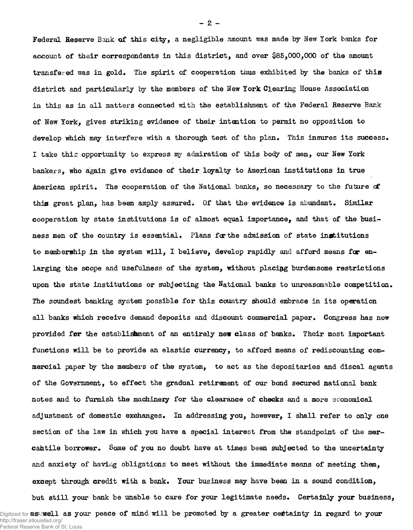Federal Reserve Bank of this city, a negligible amount was made by New York banks for account of their correspondents in this district, and over \$85,000,000 of the amount transfeged was in gold. The spirit of cooperation thus exhibited by the banks of this district and particularly by the members of the New York Clearing House Association in this as in all matters connected with the establishment of the Federal Reserve Bank of New York, gives striking evidence of their intention to permit no opposition to develop which may interfere with a thorough test of the plan. This insures its success. I take thic opportunity to express my admiration of this body of men, our New York bankers, who again give evidence of their loyalty to American institutions in true American spirit. The cooperation of the National banks, so necessary to the future of this great plan, has been amply assured. Of that the evidence is abundant. Similar cooperation by state institutions is of almost equal importance, and that of the business men of the country is essential. Plans far the admission of state institutions to memberwhip in the system will, I believe, develop rapidly and afford means for enlarging the scope and usefulness of the system, without placing burdensome restrictions upon the state institutions or subjecting the National banks to unreasonable competition. The soundest banking system possible for this country should embrace in its operation all banks which receive demand deposits and discount commercial paper. Congress has now provided *for* the establishment of an entirely new class of banks. Their most important functions will be to provide an elastic currency, to afford means of rediscounting commercial paper by the members of the system, to act as the depositaries and discal agents of the Government, to effect the gradual retirement of our bond secured national bank notes and to furnish the machinery for the clearance of checks and a more economical adjustment of domestic exchanges. In addressing you, however, I shall refer to only one section of the law in which you have a special interest from the standpoint of the mercahtile borrower. Some of you no doubt have at times been subjected to the uncertainty and anxiety of having obligations to meet without the immediate means of meeting them, except through credit with a bank. Your business may have been in a sound condition, but still your bank be unable to care for your legitimate needs. Certainly your business,

- **2** -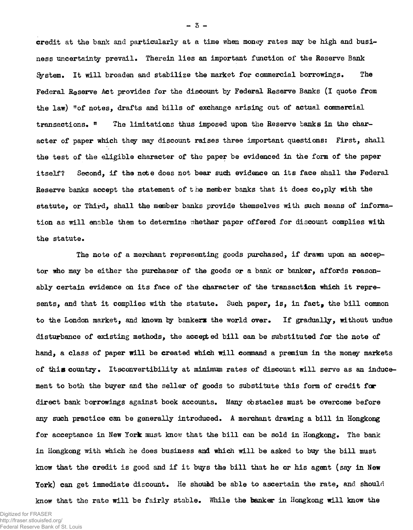credit at the bank and particularly at a time when money rates may be high and business uncertainty prevail. Therein lies an important function of the Reserve Bank System. It will broaden and stabilize the market for commercial borrowings. The Federal Reserve Act provides for the discount by Federal Reserve Banks (I quote from the law) "of notes, drafts and bills of exchange arising out of actual commercial transactions. " The limitations thus imposed upon the Reserve banks in the character of paper which they may discount raises three important questions: First, shall the test of the eligible character of the paper be evidenced in the form of the paper itself? Second, if the note does not bear such evidence on its face shall the Federal Reserve banks accept the statement of the member banks that it does  $\mathbf{c}_0$ , ply with the statute, or Third, shall the member banks provide themselves with such means of information as will enable them to determine whether paper offered for discount complies with the statute.

The note of a merchant representing goods purchased, if drawn upon an acceptor who may be either the purchaser of the goods or a bank or banker, affords reasonably certain evidence on its face of the character of the transaction which it represents, and that it complies with the statute. Such paper, is, in fact, the bill common to the London market, and known by bankers the world over. If gradually, without undue disturbance of existing methods, the accepted bill can be substituted for the note of hand, a class of paper will be created which will command a premium in the money markets of this country. Itsconvertibility at minimum rates of discount will serve as an inducement to both the buyer and the seller of goods to substitute this form of credit for direct bank borrowings against book accounts. Many obstacles must be overcome before any such practice can be generally introduced. A merchant drawing a bill in Hongkong for acceptance in New York must know that the bill can be sold in Hongkong. The bank in Hongkong with which he does business and which will be asked to buy the bill must know that the credit is good and if it buys the bill that he or his agent (say in New York) can get immediate discount. He should be able to ascertain the rate, and should know that the rate will be fairly stable. While the banker in Hongkong will know the

 $-3 -$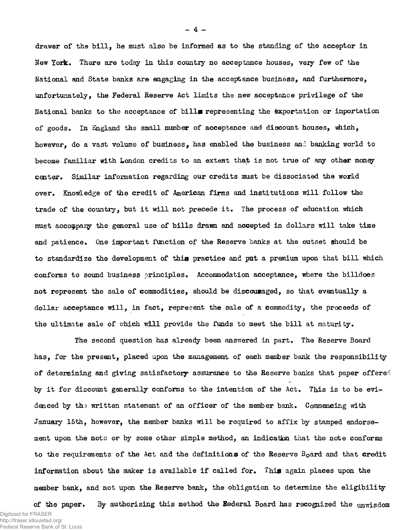drawer of the bill, he must also be informed as to the standing of the acceptor in New York. There are today in this country no acceptance houses, very few of the National and State banks are engaging in the acceptance business, and furthermore, unfortunately, the Federal Reserve Act limits the new acceptance privilege of the National banks to the acceptance of bills representing the exportation or importation of goods. In England the small number of acceptance and discount houses, which, however, do a vast volume of business, has enabled the business and banking world to become familiar with London credits to an extent that is not true of any other money center. Similar information regarding our credits must be dissociated the world over. Knowledge of the credit of American firms and institutions will follow the trade of the country, but it will not precede it. The process of education which must accompany the general use of bills drawn and accepted in dollars will take time and patience. One important function of the Reserve banks at the outset should be to standardize the development of this practice and put a premium upon that bill which conforms to sound business principles. Accommodation acceptance, where the billdoes not represent the sale of commodities, should be discouraged, so that eventually a dollar acceptance will, in fact, represent the sale of a commodity, the proceeds of the ultimate sale of which will provide the funds to meet the bill at maturity.

The second question has already been answered in part. The Reserve Board has, for the present, placed upon the management of each member bank the responsibility of determining and giving satisfactory assurance to the Reserve banks that paper offered by it for discount generally conforms to the intention of the Act. This is to be evidenced by the written statement of an officer of the member bank. Commencing with January 15th, however, the member banks will be required to affix by stamped endorsement upon the note or by some other simple method, an indication that the note conforms to the requirements of the Act and the definitions of the Reserve B<sub>o</sub>ard and that credit information about the maker is available if called for. This again places upon the member bank, and not upon the Reserve bank, the obligation to determine the eligibility

of the paper. By authorising this method the Eederal Board has recognized the unwisdom Digitized for FRASER http://fraser.stlouisfed.org/ Federal Reserve Bank of St. Louis

 $-4 -$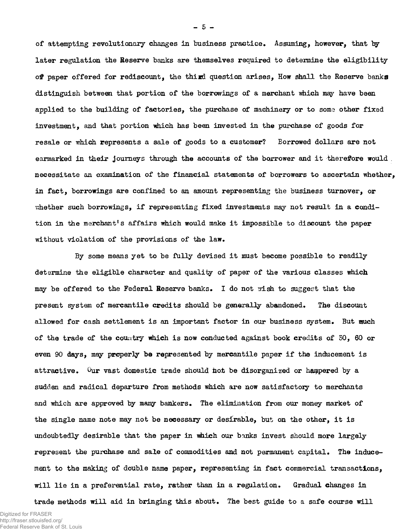of attempting revolutionary changes in business practice. Assuming, however, that by later regulation the Reserve banks are themselves required to determine the eligibility of paper offered for rediscount, the third question arises, How shall the Reserve banks distinguish between that portion of the borrowings of a merchant which may have been applied to the building of factories, the purchase of machinery or to some other fixed investment, and that portion which has been invested in the purchase of goods for resale or which represents a sale of goods to a customer? Borrowed dollars are not earmarked in their journeys through the accounts of the borrower and it therefore would . necessitate an examination of the financial statements of borrowers to ascertain whether, in fact, borrowings are confined to an amount representing the business turnover, or whether such borrowings, if representing fixed investments may not result in a condition in the merchant's affairs which would make it impossible to discount the paper without violation of the provisions of the law.

By some means yet to be fully devised it must become possible to readily determine the eligible character and quality of paper of the various classes which may be offered to the Federal Reserve banks. I do not wish to suggest that the present system of mercantile credits should be generally abandoned. The discount allowed for cash settlement is an important factor in our business system. But much of the trade of the country which is now conducted against book credits of 50, 60 or even 90 days, may properly be represented by mercantile paper if the inducement is attractive. Our vast domestic trade should hot be disorganized or hampered by a sudden and radical departure from methods which are now satisfactory to merchants and which are approved by many bankers. The elimination from our money market of the single name note may not be necessary or desirable, but on the other, it is undoubtedly desirable that the paper in which our banks invest should more largely represent the purchase and sale of commodities and not permanent capital. The inducement to the making of double name paper, representing in fact commercial transactions, will lie in a preferential rate, rather than in a regulation. Gradual changes in trade methods will aid in bringing this about. The best guide to a safe course will

 $-5 -$